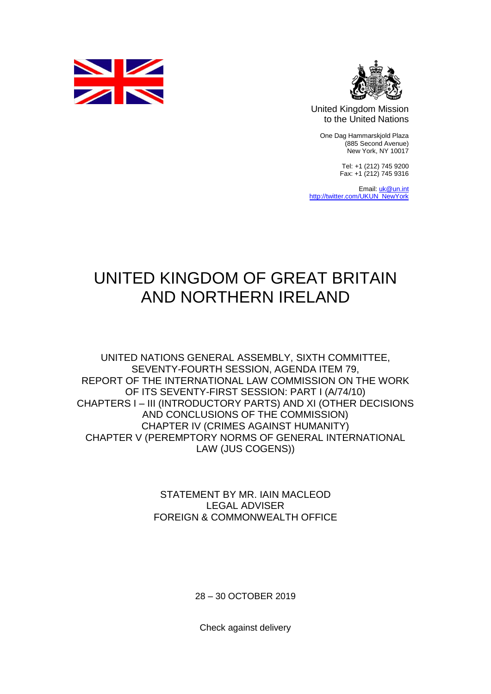



United Kingdom Mission to the United Nations

One Dag Hammarskjold Plaza (885 Second Avenue) New York, NY 10017

> Tel: +1 (212) 745 9200 Fax: +1 (212) 745 9316

Email[: uk@un.int](mailto:uk@un.int) [http://twitter.com/UKUN\\_NewYork](http://twitter.com/UKUN_NewYork)

## UNITED KINGDOM OF GREAT BRITAIN AND NORTHERN IRELAND

UNITED NATIONS GENERAL ASSEMBLY, SIXTH COMMITTEE, SEVENTY-FOURTH SESSION, AGENDA ITEM 79, REPORT OF THE INTERNATIONAL LAW COMMISSION ON THE WORK OF ITS SEVENTY-FIRST SESSION: PART I (A/74/10) CHAPTERS I – III (INTRODUCTORY PARTS) AND XI (OTHER DECISIONS AND CONCLUSIONS OF THE COMMISSION) CHAPTER IV (CRIMES AGAINST HUMANITY) CHAPTER V (PEREMPTORY NORMS OF GENERAL INTERNATIONAL LAW (JUS COGENS))

> STATEMENT BY MR. IAIN MACLEOD LEGAL ADVISER FOREIGN & COMMONWEALTH OFFICE

> > 28 – 30 OCTOBER 2019

Check against delivery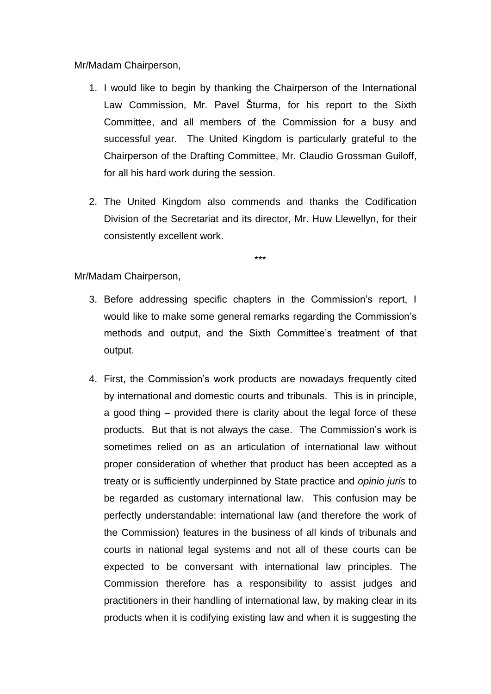Mr/Madam Chairperson,

- 1. I would like to begin by thanking the Chairperson of the International Law Commission, Mr. Pavel Šturma, for his report to the Sixth Committee, and all members of the Commission for a busy and successful year. The United Kingdom is particularly grateful to the Chairperson of the Drafting Committee, Mr. Claudio Grossman Guiloff, for all his hard work during the session.
- 2. The United Kingdom also commends and thanks the Codification Division of the Secretariat and its director, Mr. Huw Llewellyn, for their consistently excellent work.

\*\*\*

- 3. Before addressing specific chapters in the Commission's report, I would like to make some general remarks regarding the Commission's methods and output, and the Sixth Committee's treatment of that output.
- 4. First, the Commission's work products are nowadays frequently cited by international and domestic courts and tribunals. This is in principle, a good thing – provided there is clarity about the legal force of these products. But that is not always the case. The Commission's work is sometimes relied on as an articulation of international law without proper consideration of whether that product has been accepted as a treaty or is sufficiently underpinned by State practice and *opinio juris* to be regarded as customary international law. This confusion may be perfectly understandable: international law (and therefore the work of the Commission) features in the business of all kinds of tribunals and courts in national legal systems and not all of these courts can be expected to be conversant with international law principles. The Commission therefore has a responsibility to assist judges and practitioners in their handling of international law, by making clear in its products when it is codifying existing law and when it is suggesting the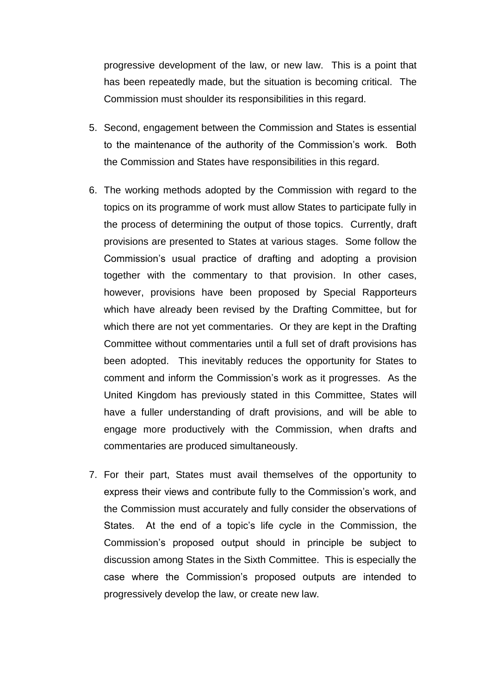progressive development of the law, or new law. This is a point that has been repeatedly made, but the situation is becoming critical. The Commission must shoulder its responsibilities in this regard.

- 5. Second, engagement between the Commission and States is essential to the maintenance of the authority of the Commission's work. Both the Commission and States have responsibilities in this regard.
- 6. The working methods adopted by the Commission with regard to the topics on its programme of work must allow States to participate fully in the process of determining the output of those topics. Currently, draft provisions are presented to States at various stages. Some follow the Commission's usual practice of drafting and adopting a provision together with the commentary to that provision. In other cases, however, provisions have been proposed by Special Rapporteurs which have already been revised by the Drafting Committee, but for which there are not yet commentaries. Or they are kept in the Drafting Committee without commentaries until a full set of draft provisions has been adopted. This inevitably reduces the opportunity for States to comment and inform the Commission's work as it progresses. As the United Kingdom has previously stated in this Committee, States will have a fuller understanding of draft provisions, and will be able to engage more productively with the Commission, when drafts and commentaries are produced simultaneously.
- 7. For their part, States must avail themselves of the opportunity to express their views and contribute fully to the Commission's work, and the Commission must accurately and fully consider the observations of States. At the end of a topic's life cycle in the Commission, the Commission's proposed output should in principle be subject to discussion among States in the Sixth Committee. This is especially the case where the Commission's proposed outputs are intended to progressively develop the law, or create new law.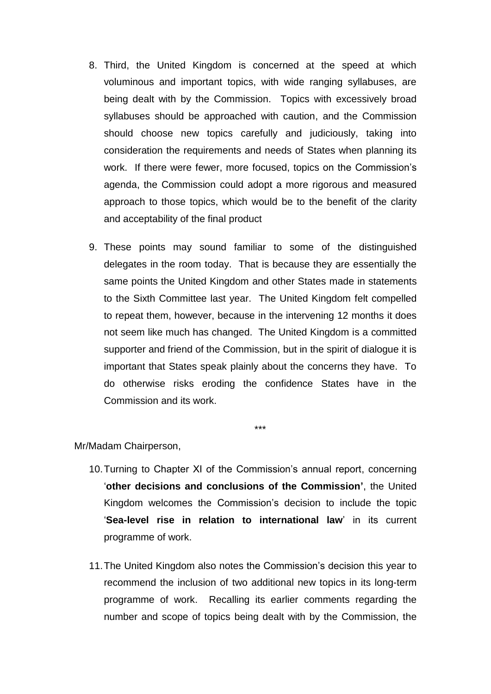- 8. Third, the United Kingdom is concerned at the speed at which voluminous and important topics, with wide ranging syllabuses, are being dealt with by the Commission. Topics with excessively broad syllabuses should be approached with caution, and the Commission should choose new topics carefully and judiciously, taking into consideration the requirements and needs of States when planning its work. If there were fewer, more focused, topics on the Commission's agenda, the Commission could adopt a more rigorous and measured approach to those topics, which would be to the benefit of the clarity and acceptability of the final product
- 9. These points may sound familiar to some of the distinguished delegates in the room today. That is because they are essentially the same points the United Kingdom and other States made in statements to the Sixth Committee last year. The United Kingdom felt compelled to repeat them, however, because in the intervening 12 months it does not seem like much has changed. The United Kingdom is a committed supporter and friend of the Commission, but in the spirit of dialogue it is important that States speak plainly about the concerns they have. To do otherwise risks eroding the confidence States have in the Commission and its work.

\*\*\*

- 10.Turning to Chapter XI of the Commission's annual report, concerning '**other decisions and conclusions of the Commission'**, the United Kingdom welcomes the Commission's decision to include the topic '**Sea-level rise in relation to international law**' in its current programme of work.
- 11.The United Kingdom also notes the Commission's decision this year to recommend the inclusion of two additional new topics in its long-term programme of work. Recalling its earlier comments regarding the number and scope of topics being dealt with by the Commission, the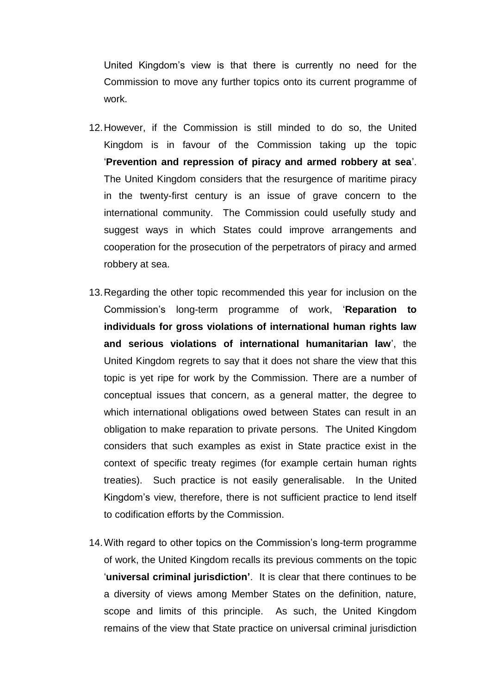United Kingdom's view is that there is currently no need for the Commission to move any further topics onto its current programme of work.

- 12.However, if the Commission is still minded to do so, the United Kingdom is in favour of the Commission taking up the topic '**Prevention and repression of piracy and armed robbery at sea**'. The United Kingdom considers that the resurgence of maritime piracy in the twenty-first century is an issue of grave concern to the international community. The Commission could usefully study and suggest ways in which States could improve arrangements and cooperation for the prosecution of the perpetrators of piracy and armed robbery at sea.
- 13.Regarding the other topic recommended this year for inclusion on the Commission's long-term programme of work, '**Reparation to individuals for gross violations of international human rights law and serious violations of international humanitarian law**', the United Kingdom regrets to say that it does not share the view that this topic is yet ripe for work by the Commission. There are a number of conceptual issues that concern, as a general matter, the degree to which international obligations owed between States can result in an obligation to make reparation to private persons. The United Kingdom considers that such examples as exist in State practice exist in the context of specific treaty regimes (for example certain human rights treaties). Such practice is not easily generalisable. In the United Kingdom's view, therefore, there is not sufficient practice to lend itself to codification efforts by the Commission.
- 14.With regard to other topics on the Commission's long-term programme of work, the United Kingdom recalls its previous comments on the topic '**universal criminal jurisdiction'**. It is clear that there continues to be a diversity of views among Member States on the definition, nature, scope and limits of this principle. As such, the United Kingdom remains of the view that State practice on universal criminal jurisdiction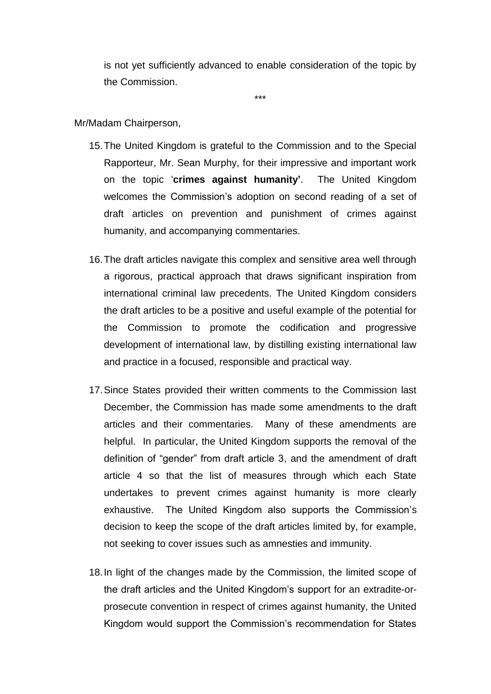is not yet sufficiently advanced to enable consideration of the topic by the Commission.

\*\*\*

- 15.The United Kingdom is grateful to the Commission and to the Special Rapporteur, Mr. Sean Murphy, for their impressive and important work on the topic '**crimes against humanity'**. The United Kingdom welcomes the Commission's adoption on second reading of a set of draft articles on prevention and punishment of crimes against humanity, and accompanying commentaries.
- 16.The draft articles navigate this complex and sensitive area well through a rigorous, practical approach that draws significant inspiration from international criminal law precedents. The United Kingdom considers the draft articles to be a positive and useful example of the potential for the Commission to promote the codification and progressive development of international law, by distilling existing international law and practice in a focused, responsible and practical way.
- 17.Since States provided their written comments to the Commission last December, the Commission has made some amendments to the draft articles and their commentaries. Many of these amendments are helpful. In particular, the United Kingdom supports the removal of the definition of "gender" from draft article 3, and the amendment of draft article 4 so that the list of measures through which each State undertakes to prevent crimes against humanity is more clearly exhaustive. The United Kingdom also supports the Commission's decision to keep the scope of the draft articles limited by, for example, not seeking to cover issues such as amnesties and immunity.
- 18.In light of the changes made by the Commission, the limited scope of the draft articles and the United Kingdom's support for an extradite-orprosecute convention in respect of crimes against humanity, the United Kingdom would support the Commission's recommendation for States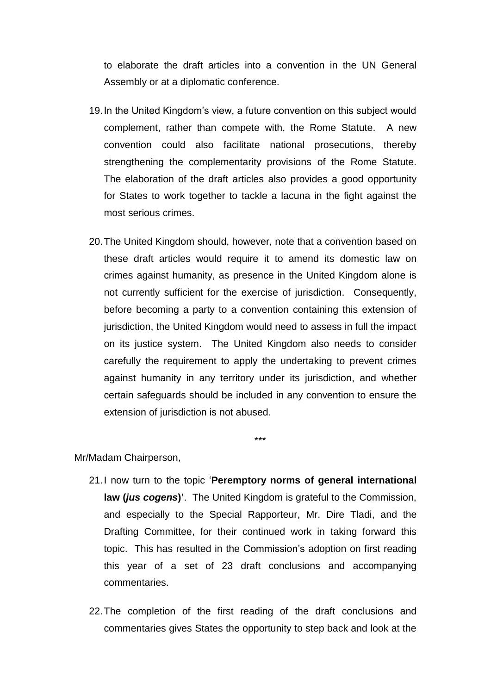to elaborate the draft articles into a convention in the UN General Assembly or at a diplomatic conference.

- 19.In the United Kingdom's view, a future convention on this subject would complement, rather than compete with, the Rome Statute. A new convention could also facilitate national prosecutions, thereby strengthening the complementarity provisions of the Rome Statute. The elaboration of the draft articles also provides a good opportunity for States to work together to tackle a lacuna in the fight against the most serious crimes.
- 20.The United Kingdom should, however, note that a convention based on these draft articles would require it to amend its domestic law on crimes against humanity, as presence in the United Kingdom alone is not currently sufficient for the exercise of jurisdiction. Consequently, before becoming a party to a convention containing this extension of jurisdiction, the United Kingdom would need to assess in full the impact on its justice system. The United Kingdom also needs to consider carefully the requirement to apply the undertaking to prevent crimes against humanity in any territory under its jurisdiction, and whether certain safeguards should be included in any convention to ensure the extension of jurisdiction is not abused.

\*\*\*

- 21.I now turn to the topic '**Peremptory norms of general international law (***jus cogens***)'**. The United Kingdom is grateful to the Commission, and especially to the Special Rapporteur, Mr. Dire Tladi, and the Drafting Committee, for their continued work in taking forward this topic. This has resulted in the Commission's adoption on first reading this year of a set of 23 draft conclusions and accompanying commentaries.
- 22.The completion of the first reading of the draft conclusions and commentaries gives States the opportunity to step back and look at the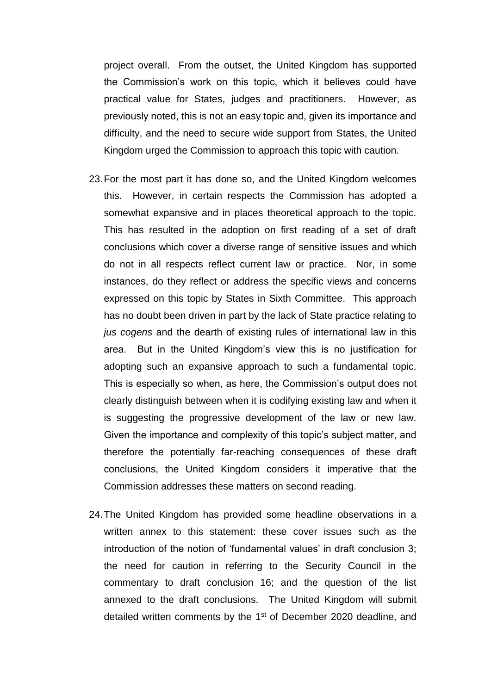project overall. From the outset, the United Kingdom has supported the Commission's work on this topic, which it believes could have practical value for States, judges and practitioners. However, as previously noted, this is not an easy topic and, given its importance and difficulty, and the need to secure wide support from States, the United Kingdom urged the Commission to approach this topic with caution.

- 23.For the most part it has done so, and the United Kingdom welcomes this. However, in certain respects the Commission has adopted a somewhat expansive and in places theoretical approach to the topic. This has resulted in the adoption on first reading of a set of draft conclusions which cover a diverse range of sensitive issues and which do not in all respects reflect current law or practice. Nor, in some instances, do they reflect or address the specific views and concerns expressed on this topic by States in Sixth Committee. This approach has no doubt been driven in part by the lack of State practice relating to *jus cogens* and the dearth of existing rules of international law in this area. But in the United Kingdom's view this is no justification for adopting such an expansive approach to such a fundamental topic. This is especially so when, as here, the Commission's output does not clearly distinguish between when it is codifying existing law and when it is suggesting the progressive development of the law or new law. Given the importance and complexity of this topic's subject matter, and therefore the potentially far-reaching consequences of these draft conclusions, the United Kingdom considers it imperative that the Commission addresses these matters on second reading.
- 24.The United Kingdom has provided some headline observations in a written annex to this statement: these cover issues such as the introduction of the notion of 'fundamental values' in draft conclusion 3; the need for caution in referring to the Security Council in the commentary to draft conclusion 16; and the question of the list annexed to the draft conclusions. The United Kingdom will submit detailed written comments by the 1<sup>st</sup> of December 2020 deadline, and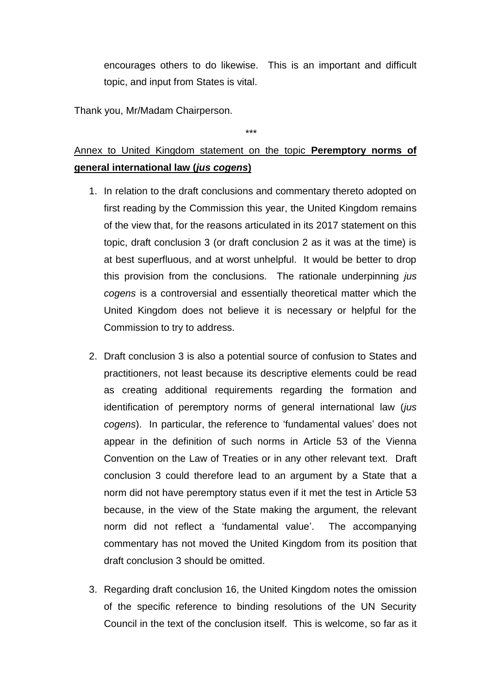encourages others to do likewise. This is an important and difficult topic, and input from States is vital.

Thank you, Mr/Madam Chairperson.

\*\*\*

## Annex to United Kingdom statement on the topic **Peremptory norms of general international law (***jus cogens***)**

- 1. In relation to the draft conclusions and commentary thereto adopted on first reading by the Commission this year, the United Kingdom remains of the view that, for the reasons articulated in its 2017 statement on this topic, draft conclusion 3 (or draft conclusion 2 as it was at the time) is at best superfluous, and at worst unhelpful. It would be better to drop this provision from the conclusions. The rationale underpinning *jus cogens* is a controversial and essentially theoretical matter which the United Kingdom does not believe it is necessary or helpful for the Commission to try to address.
- 2. Draft conclusion 3 is also a potential source of confusion to States and practitioners, not least because its descriptive elements could be read as creating additional requirements regarding the formation and identification of peremptory norms of general international law (*jus cogens*). In particular, the reference to 'fundamental values' does not appear in the definition of such norms in Article 53 of the Vienna Convention on the Law of Treaties or in any other relevant text. Draft conclusion 3 could therefore lead to an argument by a State that a norm did not have peremptory status even if it met the test in Article 53 because, in the view of the State making the argument, the relevant norm did not reflect a 'fundamental value'. The accompanying commentary has not moved the United Kingdom from its position that draft conclusion 3 should be omitted.
- 3. Regarding draft conclusion 16, the United Kingdom notes the omission of the specific reference to binding resolutions of the UN Security Council in the text of the conclusion itself. This is welcome, so far as it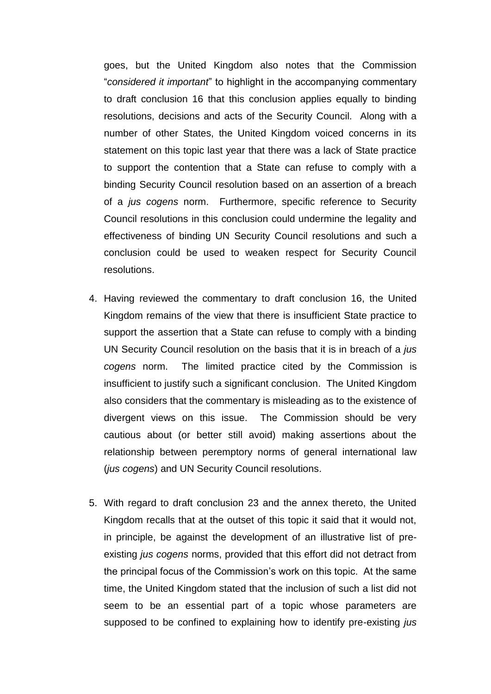goes, but the United Kingdom also notes that the Commission "*considered it important*" to highlight in the accompanying commentary to draft conclusion 16 that this conclusion applies equally to binding resolutions, decisions and acts of the Security Council. Along with a number of other States, the United Kingdom voiced concerns in its statement on this topic last year that there was a lack of State practice to support the contention that a State can refuse to comply with a binding Security Council resolution based on an assertion of a breach of a *jus cogens* norm. Furthermore, specific reference to Security Council resolutions in this conclusion could undermine the legality and effectiveness of binding UN Security Council resolutions and such a conclusion could be used to weaken respect for Security Council resolutions.

- 4. Having reviewed the commentary to draft conclusion 16, the United Kingdom remains of the view that there is insufficient State practice to support the assertion that a State can refuse to comply with a binding UN Security Council resolution on the basis that it is in breach of a *jus cogens* norm. The limited practice cited by the Commission is insufficient to justify such a significant conclusion. The United Kingdom also considers that the commentary is misleading as to the existence of divergent views on this issue. The Commission should be very cautious about (or better still avoid) making assertions about the relationship between peremptory norms of general international law (*jus cogens*) and UN Security Council resolutions.
- 5. With regard to draft conclusion 23 and the annex thereto, the United Kingdom recalls that at the outset of this topic it said that it would not, in principle, be against the development of an illustrative list of preexisting *jus cogens* norms, provided that this effort did not detract from the principal focus of the Commission's work on this topic. At the same time, the United Kingdom stated that the inclusion of such a list did not seem to be an essential part of a topic whose parameters are supposed to be confined to explaining how to identify pre-existing *jus*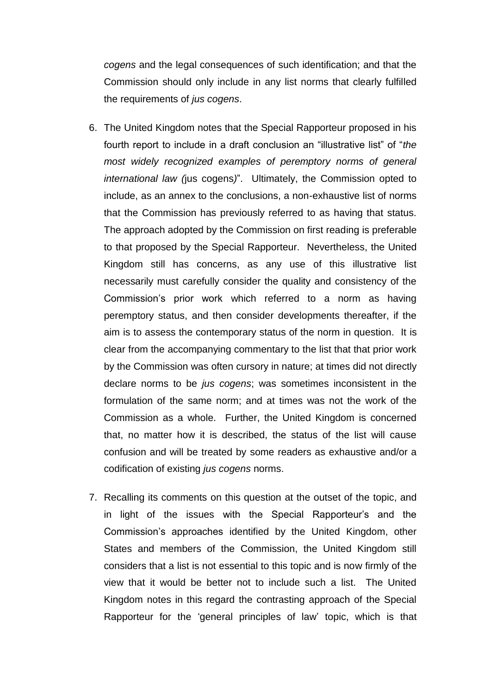*cogens* and the legal consequences of such identification; and that the Commission should only include in any list norms that clearly fulfilled the requirements of *jus cogens*.

- 6. The United Kingdom notes that the Special Rapporteur proposed in his fourth report to include in a draft conclusion an "illustrative list" of "*the most widely recognized examples of peremptory norms of general international law (*jus cogens*)*". Ultimately, the Commission opted to include, as an annex to the conclusions, a non-exhaustive list of norms that the Commission has previously referred to as having that status. The approach adopted by the Commission on first reading is preferable to that proposed by the Special Rapporteur. Nevertheless, the United Kingdom still has concerns, as any use of this illustrative list necessarily must carefully consider the quality and consistency of the Commission's prior work which referred to a norm as having peremptory status, and then consider developments thereafter, if the aim is to assess the contemporary status of the norm in question. It is clear from the accompanying commentary to the list that that prior work by the Commission was often cursory in nature; at times did not directly declare norms to be *jus cogens*; was sometimes inconsistent in the formulation of the same norm; and at times was not the work of the Commission as a whole. Further, the United Kingdom is concerned that, no matter how it is described, the status of the list will cause confusion and will be treated by some readers as exhaustive and/or a codification of existing *jus cogens* norms.
- 7. Recalling its comments on this question at the outset of the topic, and in light of the issues with the Special Rapporteur's and the Commission's approaches identified by the United Kingdom, other States and members of the Commission, the United Kingdom still considers that a list is not essential to this topic and is now firmly of the view that it would be better not to include such a list. The United Kingdom notes in this regard the contrasting approach of the Special Rapporteur for the 'general principles of law' topic, which is that